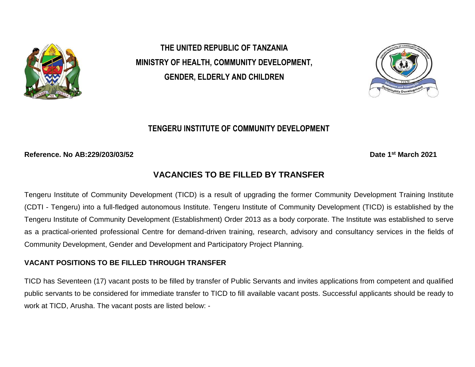

**THE UNITED REPUBLIC OF TANZANIA MINISTRY OF HEALTH, COMMUNITY DEVELOPMENT, GENDER, ELDERLY AND CHILDREN** 



# **TENGERU INSTITUTE OF COMMUNITY DEVELOPMENT**

**Reference. No AB:229/203/03/52** 

**st March 2021**

# **VACANCIES TO BE FILLED BY TRANSFER**

Tengeru Institute of Community Development (TICD) is a result of upgrading the former Community Development Training Institute (CDTI - Tengeru) into a full-fledged autonomous Institute. Tengeru Institute of Community Development (TICD) is established by the Tengeru Institute of Community Development (Establishment) Order 2013 as a body corporate. The Institute was established to serve as a practical-oriented professional Centre for demand-driven training, research, advisory and consultancy services in the fields of Community Development, Gender and Development and Participatory Project Planning.

## **VACANT POSITIONS TO BE FILLED THROUGH TRANSFER**

TICD has Seventeen (17) vacant posts to be filled by transfer of Public Servants and invites applications from competent and qualified public servants to be considered for immediate transfer to TICD to fill available vacant posts. Successful applicants should be ready to work at TICD, Arusha. The vacant posts are listed below: -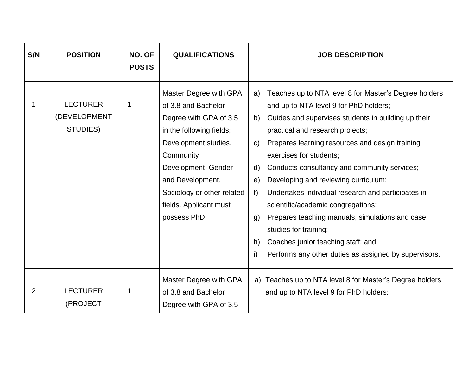| S/N | <b>POSITION</b>                             | NO. OF<br><b>POSTS</b> | <b>QUALIFICATIONS</b>                                                                                                                                                                                                                                       | <b>JOB DESCRIPTION</b>                                                                                                                                                                                                                                                                                                                                                                                                                                                                                                                                                                                                                                                                                 |
|-----|---------------------------------------------|------------------------|-------------------------------------------------------------------------------------------------------------------------------------------------------------------------------------------------------------------------------------------------------------|--------------------------------------------------------------------------------------------------------------------------------------------------------------------------------------------------------------------------------------------------------------------------------------------------------------------------------------------------------------------------------------------------------------------------------------------------------------------------------------------------------------------------------------------------------------------------------------------------------------------------------------------------------------------------------------------------------|
| 1   | <b>LECTURER</b><br>(DEVELOPMENT<br>STUDIES) | 1                      | Master Degree with GPA<br>of 3.8 and Bachelor<br>Degree with GPA of 3.5<br>in the following fields;<br>Development studies,<br>Community<br>Development, Gender<br>and Development,<br>Sociology or other related<br>fields. Applicant must<br>possess PhD. | Teaches up to NTA level 8 for Master's Degree holders<br>a)<br>and up to NTA level 9 for PhD holders;<br>Guides and supervises students in building up their<br>b)<br>practical and research projects;<br>Prepares learning resources and design training<br>$\mathsf{C}$<br>exercises for students;<br>Conducts consultancy and community services;<br>d)<br>Developing and reviewing curriculum;<br>e)<br>f<br>Undertakes individual research and participates in<br>scientific/academic congregations;<br>Prepares teaching manuals, simulations and case<br>g)<br>studies for training;<br>Coaches junior teaching staff; and<br>h)<br>i)<br>Performs any other duties as assigned by supervisors. |
| 2   | <b>LECTURER</b><br>(PROJECT                 | 1                      | Master Degree with GPA<br>of 3.8 and Bachelor<br>Degree with GPA of 3.5                                                                                                                                                                                     | a) Teaches up to NTA level 8 for Master's Degree holders<br>and up to NTA level 9 for PhD holders;                                                                                                                                                                                                                                                                                                                                                                                                                                                                                                                                                                                                     |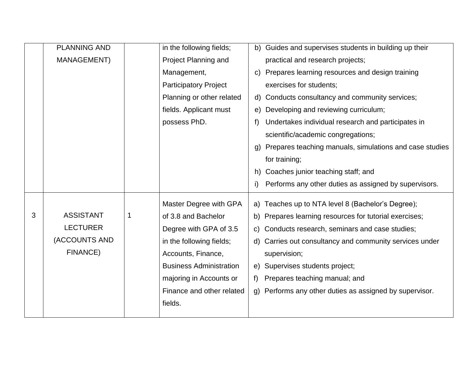|   | <b>PLANNING AND</b> |   | in the following fields;       |                | b) Guides and supervises students in building up their  |
|---|---------------------|---|--------------------------------|----------------|---------------------------------------------------------|
|   | <b>MANAGEMENT)</b>  |   | Project Planning and           |                | practical and research projects;                        |
|   |                     |   | Management,                    | C)             | Prepares learning resources and design training         |
|   |                     |   | <b>Participatory Project</b>   |                | exercises for students;                                 |
|   |                     |   | Planning or other related      | d)             | Conducts consultancy and community services;            |
|   |                     |   | fields. Applicant must         | e)             | Developing and reviewing curriculum;                    |
|   |                     |   | possess PhD.                   | f)             | Undertakes individual research and participates in      |
|   |                     |   |                                |                | scientific/academic congregations;                      |
|   |                     |   |                                | $\mathfrak{g}$ | Prepares teaching manuals, simulations and case studies |
|   |                     |   |                                |                | for training;                                           |
|   |                     |   |                                | h)             | Coaches junior teaching staff; and                      |
|   |                     |   |                                | $\mathsf{i}$   | Performs any other duties as assigned by supervisors.   |
|   |                     |   | Master Degree with GPA         |                | a) Teaches up to NTA level 8 (Bachelor's Degree);       |
| 3 | <b>ASSISTANT</b>    | 1 | of 3.8 and Bachelor            |                | b) Prepares learning resources for tutorial exercises;  |
|   | <b>LECTURER</b>     |   | Degree with GPA of 3.5         |                | c) Conducts research, seminars and case studies;        |
|   | (ACCOUNTS AND       |   | in the following fields;       |                | d) Carries out consultancy and community services under |
|   | FINANCE)            |   | Accounts, Finance,             |                | supervision;                                            |
|   |                     |   | <b>Business Administration</b> |                | e) Supervises students project;                         |
|   |                     |   | majoring in Accounts or        | f              | Prepares teaching manual; and                           |
|   |                     |   | Finance and other related      |                | g) Performs any other duties as assigned by supervisor. |
|   |                     |   | fields.                        |                |                                                         |
|   |                     |   |                                |                |                                                         |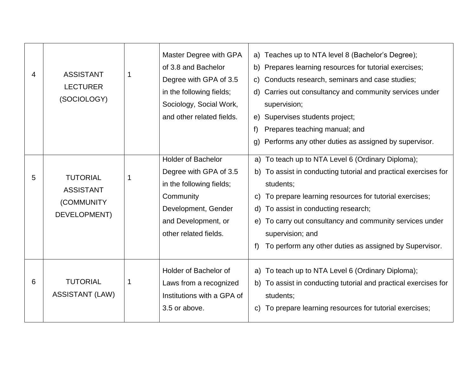| 4 | <b>ASSISTANT</b><br><b>LECTURER</b><br>(SOCIOLOGY)                       |   | Master Degree with GPA<br>of 3.8 and Bachelor<br>Degree with GPA of 3.5<br>in the following fields;<br>Sociology, Social Work,<br>and other related fields.         | a) Teaches up to NTA level 8 (Bachelor's Degree);<br>b) Prepares learning resources for tutorial exercises;<br>Conducts research, seminars and case studies;<br>$\mathsf{C}$<br>Carries out consultancy and community services under<br>d)<br>supervision;<br>Supervises students project;<br>e)<br>Prepares teaching manual; and<br>f)<br>Performs any other duties as assigned by supervisor.<br>$\mathsf{q}$ |
|---|--------------------------------------------------------------------------|---|---------------------------------------------------------------------------------------------------------------------------------------------------------------------|-----------------------------------------------------------------------------------------------------------------------------------------------------------------------------------------------------------------------------------------------------------------------------------------------------------------------------------------------------------------------------------------------------------------|
| 5 | <b>TUTORIAL</b><br><b>ASSISTANT</b><br>(COMMUNITY<br><b>DEVELOPMENT)</b> | 1 | <b>Holder of Bachelor</b><br>Degree with GPA of 3.5<br>in the following fields;<br>Community<br>Development, Gender<br>and Development, or<br>other related fields. | a) To teach up to NTA Level 6 (Ordinary Diploma);<br>b) To assist in conducting tutorial and practical exercises for<br>students;<br>To prepare learning resources for tutorial exercises;<br>C)<br>To assist in conducting research;<br>d)<br>To carry out consultancy and community services under<br>e)<br>supervision; and<br>To perform any other duties as assigned by Supervisor.<br>f)                  |
| 6 | <b>TUTORIAL</b><br><b>ASSISTANT (LAW)</b>                                | 1 | Holder of Bachelor of<br>Laws from a recognized<br>Institutions with a GPA of<br>3.5 or above.                                                                      | a) To teach up to NTA Level 6 (Ordinary Diploma);<br>b) To assist in conducting tutorial and practical exercises for<br>students;<br>To prepare learning resources for tutorial exercises;<br>C)                                                                                                                                                                                                                |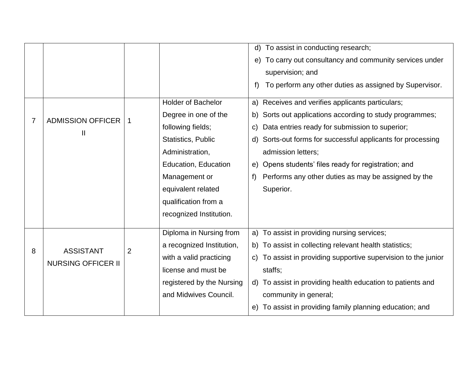|   |                           |                |                           | $\mathsf{d}$ | To assist in conducting research;                           |
|---|---------------------------|----------------|---------------------------|--------------|-------------------------------------------------------------|
|   |                           |                |                           | e)           | To carry out consultancy and community services under       |
|   |                           |                |                           |              | supervision; and                                            |
|   |                           |                |                           | f)           | To perform any other duties as assigned by Supervisor.      |
|   |                           |                | <b>Holder of Bachelor</b> |              | a) Receives and verifies applicants particulars;            |
| 7 | <b>ADMISSION OFFICER</b>  |                | Degree in one of the      |              | b) Sorts out applications according to study programmes;    |
|   | Ш                         |                | following fields;         | $\mathsf{C}$ | Data entries ready for submission to superior;              |
|   |                           |                | <b>Statistics, Public</b> |              | d) Sorts-out forms for successful applicants for processing |
|   |                           |                | Administration,           |              | admission letters;                                          |
|   |                           |                | Education, Education      |              | e) Opens students' files ready for registration; and        |
|   |                           |                | Management or             | f)           | Performs any other duties as may be assigned by the         |
|   |                           |                | equivalent related        |              | Superior.                                                   |
|   |                           |                | qualification from a      |              |                                                             |
|   |                           |                | recognized Institution.   |              |                                                             |
|   |                           |                |                           |              |                                                             |
|   |                           |                | Diploma in Nursing from   | a)           | To assist in providing nursing services;                    |
| 8 | <b>ASSISTANT</b>          | $\overline{2}$ | a recognized Institution, |              | b) To assist in collecting relevant health statistics;      |
|   | <b>NURSING OFFICER II</b> |                | with a valid practicing   | $\mathsf{C}$ | To assist in providing supportive supervision to the junior |
|   |                           |                | license and must be       |              | staffs;                                                     |
|   |                           |                | registered by the Nursing |              | d) To assist in providing health education to patients and  |
|   |                           |                | and Midwives Council.     |              | community in general;                                       |
|   |                           |                |                           |              | e) To assist in providing family planning education; and    |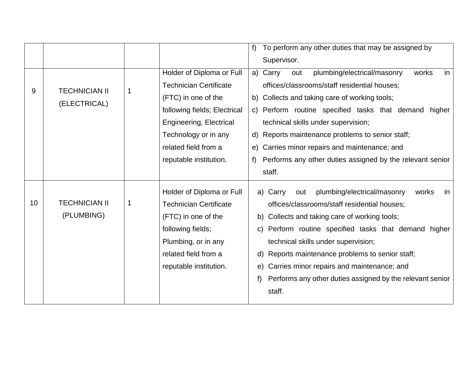|    |                      |             |                               | To perform any other duties that may be assigned by<br>f           |
|----|----------------------|-------------|-------------------------------|--------------------------------------------------------------------|
|    |                      |             |                               | Supervisor.                                                        |
|    |                      |             | Holder of Diploma or Full     | works<br>a) Carry<br>plumbing/electrical/masonry<br>in<br>out      |
| 9  | <b>TECHNICIAN II</b> | $\mathbf 1$ | <b>Technician Certificate</b> | offices/classrooms/staff residential houses;                       |
|    | (ELECTRICAL)         |             | (FTC) in one of the           | b) Collects and taking care of working tools;                      |
|    |                      |             | following fields; Electrical  | c) Perform routine specified tasks that demand<br>higher           |
|    |                      |             | Engineering, Electrical       | technical skills under supervision;                                |
|    |                      |             | Technology or in any          | Reports maintenance problems to senior staff;<br>d)                |
|    |                      |             | related field from a          | Carries minor repairs and maintenance; and<br>e)                   |
|    |                      |             | reputable institution.        | Performs any other duties assigned by the relevant senior<br>$f$ ) |
|    |                      |             |                               | staff.                                                             |
|    |                      |             | Holder of Diploma or Full     | plumbing/electrical/masonry<br>works<br>a) Carry<br>out<br>in.     |
| 10 | <b>TECHNICIAN II</b> | $\mathbf 1$ | <b>Technician Certificate</b> | offices/classrooms/staff residential houses;                       |
|    | (PLUMBING)           |             | (FTC) in one of the           | Collects and taking care of working tools;<br>b)                   |
|    |                      |             | following fields;             | c) Perform routine specified tasks that demand higher              |
|    |                      |             | Plumbing, or in any           | technical skills under supervision;                                |
|    |                      |             | related field from a          | Reports maintenance problems to senior staff;<br>d)                |
|    |                      |             | reputable institution.        | Carries minor repairs and maintenance; and<br>e)                   |
|    |                      |             |                               | Performs any other duties assigned by the relevant senior          |
|    |                      |             |                               | staff.                                                             |
|    |                      |             |                               |                                                                    |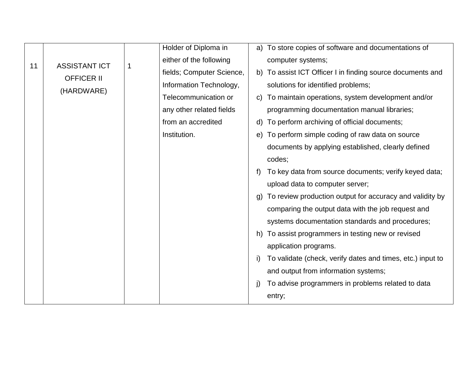|    |                      |   | Holder of Diploma in      |    | a) To store copies of software and documentations of       |
|----|----------------------|---|---------------------------|----|------------------------------------------------------------|
| 11 | <b>ASSISTANT ICT</b> | 1 | either of the following   |    | computer systems;                                          |
|    | <b>OFFICER II</b>    |   | fields; Computer Science, |    | b) To assist ICT Officer I in finding source documents and |
|    |                      |   | Information Technology,   |    | solutions for identified problems;                         |
|    | (HARDWARE)           |   | Telecommunication or      | C) | To maintain operations, system development and/or          |
|    |                      |   | any other related fields  |    | programming documentation manual libraries;                |
|    |                      |   | from an accredited        | d) | To perform archiving of official documents;                |
|    |                      |   | Institution.              |    | e) To perform simple coding of raw data on source          |
|    |                      |   |                           |    | documents by applying established, clearly defined         |
|    |                      |   |                           |    | codes;                                                     |
|    |                      |   |                           | f) | To key data from source documents; verify keyed data;      |
|    |                      |   |                           |    | upload data to computer server;                            |
|    |                      |   |                           | (g | To review production output for accuracy and validity by   |
|    |                      |   |                           |    | comparing the output data with the job request and         |
|    |                      |   |                           |    | systems documentation standards and procedures;            |
|    |                      |   |                           | h) | To assist programmers in testing new or revised            |
|    |                      |   |                           |    | application programs.                                      |
|    |                      |   |                           | i) | To validate (check, verify dates and times, etc.) input to |
|    |                      |   |                           |    | and output from information systems;                       |
|    |                      |   |                           | j) | To advise programmers in problems related to data          |
|    |                      |   |                           |    | entry;                                                     |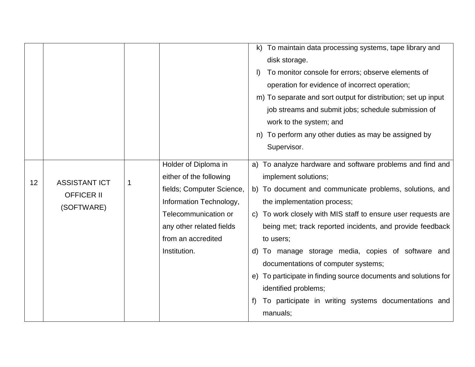|    |                                                         |   |                                                                                                                                                                                                   | To maintain data processing systems, tape library and<br>k)<br>disk storage.<br>To monitor console for errors; observe elements of<br>$\vert$<br>operation for evidence of incorrect operation;<br>m) To separate and sort output for distribution; set up input<br>job streams and submit jobs; schedule submission of<br>work to the system; and<br>To perform any other duties as may be assigned by<br>n)<br>Supervisor.                                                                                                                                                             |
|----|---------------------------------------------------------|---|---------------------------------------------------------------------------------------------------------------------------------------------------------------------------------------------------|------------------------------------------------------------------------------------------------------------------------------------------------------------------------------------------------------------------------------------------------------------------------------------------------------------------------------------------------------------------------------------------------------------------------------------------------------------------------------------------------------------------------------------------------------------------------------------------|
| 12 | <b>ASSISTANT ICT</b><br><b>OFFICER II</b><br>(SOFTWARE) | 1 | Holder of Diploma in<br>either of the following<br>fields; Computer Science,<br>Information Technology,<br>Telecommunication or<br>any other related fields<br>from an accredited<br>Institution. | a) To analyze hardware and software problems and find and<br>implement solutions;<br>b) To document and communicate problems, solutions, and<br>the implementation process;<br>c) To work closely with MIS staff to ensure user requests are<br>being met; track reported incidents, and provide feedback<br>to users;<br>d) To manage storage media, copies of software and<br>documentations of computer systems;<br>e) To participate in finding source documents and solutions for<br>identified problems;<br>To participate in writing systems documentations and<br>f)<br>manuals; |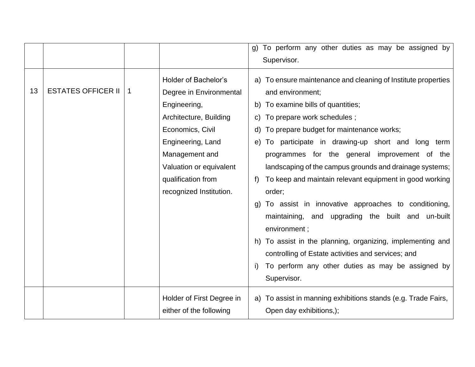|    |                           |             |                                                                                                                                                                                                                                  | To perform any other duties as may be assigned by<br>g)<br>Supervisor.                                                                                                                                                                                                                                                                                                                                                                                                                                                                                                                                                                                                                                                                                                         |
|----|---------------------------|-------------|----------------------------------------------------------------------------------------------------------------------------------------------------------------------------------------------------------------------------------|--------------------------------------------------------------------------------------------------------------------------------------------------------------------------------------------------------------------------------------------------------------------------------------------------------------------------------------------------------------------------------------------------------------------------------------------------------------------------------------------------------------------------------------------------------------------------------------------------------------------------------------------------------------------------------------------------------------------------------------------------------------------------------|
| 13 | <b>ESTATES OFFICER II</b> | $\mathbf 1$ | Holder of Bachelor's<br>Degree in Environmental<br>Engineering,<br>Architecture, Building<br>Economics, Civil<br>Engineering, Land<br>Management and<br>Valuation or equivalent<br>qualification from<br>recognized Institution. | a) To ensure maintenance and cleaning of Institute properties<br>and environment;<br>b) To examine bills of quantities;<br>c) To prepare work schedules;<br>d) To prepare budget for maintenance works;<br>e) To participate in drawing-up short and long term<br>programmes for the general improvement of the<br>landscaping of the campus grounds and drainage systems;<br>To keep and maintain relevant equipment in good working<br>f<br>order;<br>To assist in innovative approaches to conditioning,<br>maintaining, and upgrading the built and un-built<br>environment;<br>h) To assist in the planning, organizing, implementing and<br>controlling of Estate activities and services; and<br>To perform any other duties as may be assigned by<br>i)<br>Supervisor. |
|    |                           |             | Holder of First Degree in<br>either of the following                                                                                                                                                                             | a) To assist in manning exhibitions stands (e.g. Trade Fairs,<br>Open day exhibitions,);                                                                                                                                                                                                                                                                                                                                                                                                                                                                                                                                                                                                                                                                                       |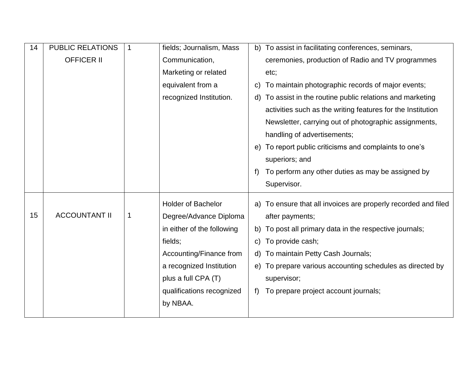| 14 | <b>PUBLIC RELATIONS</b> | $\mathbf 1$ | fields; Journalism, Mass   | b) To assist in facilitating conferences, seminars,                               |
|----|-------------------------|-------------|----------------------------|-----------------------------------------------------------------------------------|
|    | <b>OFFICER II</b>       |             | Communication,             | ceremonies, production of Radio and TV programmes                                 |
|    |                         |             | Marketing or related       | etc;                                                                              |
|    |                         |             | equivalent from a          | To maintain photographic records of major events;<br>C)                           |
|    |                         |             | recognized Institution.    | To assist in the routine public relations and marketing<br>d)                     |
|    |                         |             |                            | activities such as the writing features for the Institution                       |
|    |                         |             |                            | Newsletter, carrying out of photographic assignments,                             |
|    |                         |             |                            | handling of advertisements;                                                       |
|    |                         |             |                            | To report public criticisms and complaints to one's<br>e)                         |
|    |                         |             |                            | superiors; and                                                                    |
|    |                         |             |                            | To perform any other duties as may be assigned by<br>f                            |
|    |                         |             |                            | Supervisor.                                                                       |
|    |                         |             | <b>Holder of Bachelor</b>  |                                                                                   |
|    |                         |             |                            |                                                                                   |
| 15 | <b>ACCOUNTANT II</b>    | 1           | Degree/Advance Diploma     | a) To ensure that all invoices are properly recorded and filed<br>after payments; |
|    |                         |             | in either of the following | b) To post all primary data in the respective journals;                           |
|    |                         |             | fields;                    | To provide cash;<br>C)                                                            |
|    |                         |             | Accounting/Finance from    | d) To maintain Petty Cash Journals;                                               |
|    |                         |             | a recognized Institution   | e) To prepare various accounting schedules as directed by                         |
|    |                         |             | plus a full CPA (T)        | supervisor;                                                                       |
|    |                         |             | qualifications recognized  | To prepare project account journals;<br>t)                                        |
|    |                         |             | by NBAA.                   |                                                                                   |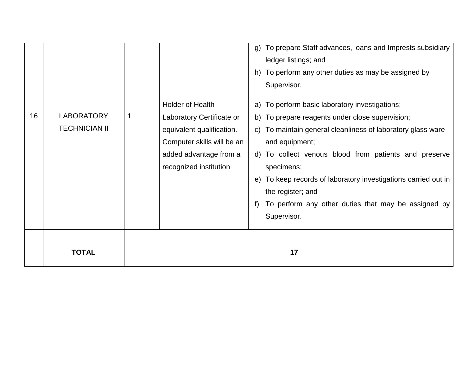|    | <b>TOTAL</b>                              |                                                                                                                                                              | 17                                                                                                                                                                                                                                                                                                                                                                                                                           |
|----|-------------------------------------------|--------------------------------------------------------------------------------------------------------------------------------------------------------------|------------------------------------------------------------------------------------------------------------------------------------------------------------------------------------------------------------------------------------------------------------------------------------------------------------------------------------------------------------------------------------------------------------------------------|
| 16 | <b>LABORATORY</b><br><b>TECHNICIAN II</b> | Holder of Health<br>Laboratory Certificate or<br>equivalent qualification.<br>Computer skills will be an<br>added advantage from a<br>recognized institution | a) To perform basic laboratory investigations;<br>b) To prepare reagents under close supervision;<br>c) To maintain general cleanliness of laboratory glass ware<br>and equipment;<br>d) To collect venous blood from patients and preserve<br>specimens;<br>e) To keep records of laboratory investigations carried out in<br>the register; and<br>To perform any other duties that may be assigned by<br>f)<br>Supervisor. |
|    |                                           |                                                                                                                                                              | To prepare Staff advances, loans and Imprests subsidiary<br>$\mathsf{q}$<br>ledger listings; and<br>h) To perform any other duties as may be assigned by<br>Supervisor.                                                                                                                                                                                                                                                      |